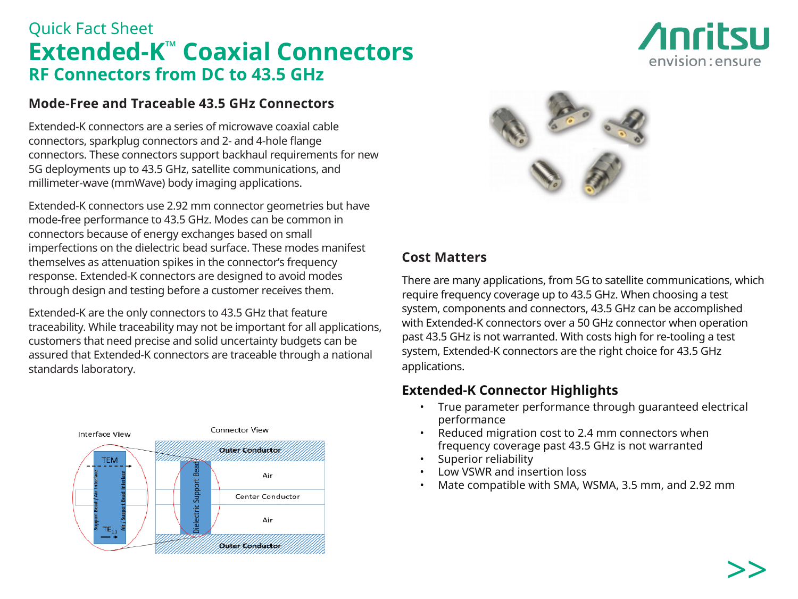# Quick Fact Sheet **Extended-K™ Coaxial Connectors RF Connectors from DC to 43.5 GHz**

### **Mode-Free and Traceable 43.5 GHz Connectors**

Extended-K connectors are a series of microwave coaxial cable connectors, sparkplug connectors and 2- and 4-hole flange connectors. These connectors support backhaul requirements for new 5G deployments up to 43.5 GHz, satellite communications, and millimeter-wave (mmWave) body imaging applications.

Extended-K connectors use 2.92 mm connector geometries but have mode-free performance to 43.5 GHz. Modes can be common in connectors because of energy exchanges based on small imperfections on the dielectric bead surface. These modes manifest themselves as attenuation spikes in the connector's frequency response. Extended-K connectors are designed to avoid modes through design and testing before a customer receives them.

Extended-K are the only connectors to 43.5 GHz that feature traceability. While traceability may not be important for all applications, customers that need precise and solid uncertainty budgets can be assured that Extended-K connectors are traceable through a national standards laboratory.





## **Cost Matters**

There are many applications, from 5G to satellite communications, which require frequency coverage up to 43.5 GHz. When choosing a test system, components and connectors, 43.5 GHz can be accomplished with Extended-K connectors over a 50 GHz connector when operation past 43.5 GHz is not warranted. With costs high for re-tooling a test system, Extended-K connectors are the right choice for 43.5 GHz applications.

### **Extended-K Connector Highlights**

- True parameter performance through guaranteed electrical performance
- Reduced migration cost to 2.4 mm connectors when frequency coverage past 43.5 GHz is not warranted
- Superior reliability
- Low VSWR and insertion loss
- Mate compatible with SMA, WSMA, 3.5 mm, and 2.92 mm

*Anritsu* 

envision: ensure